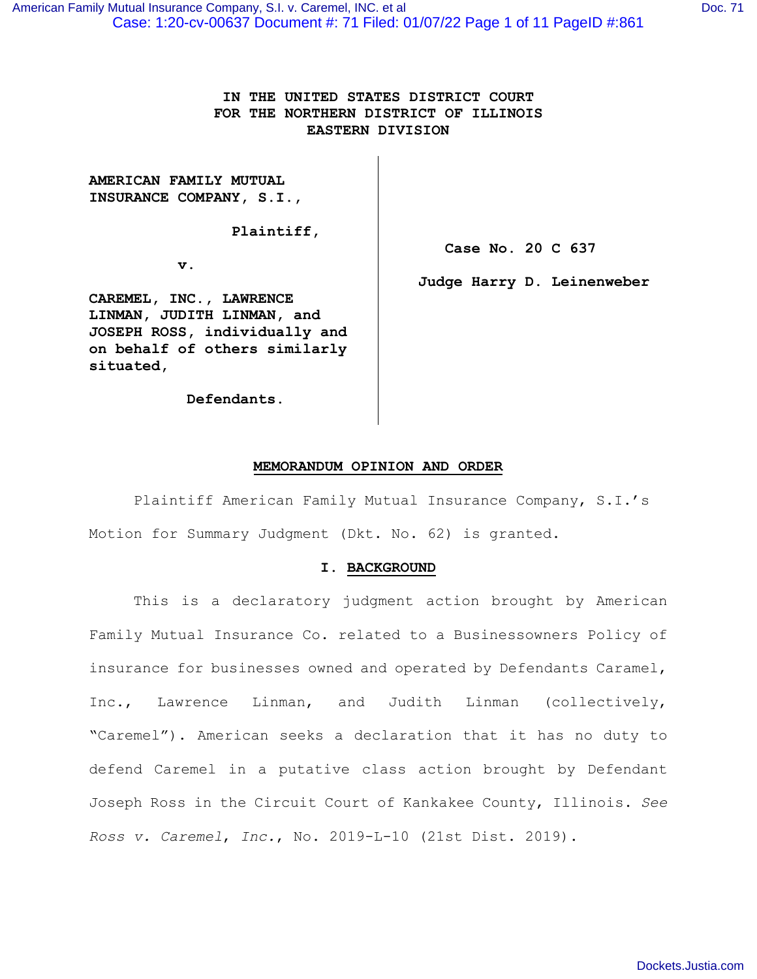[Dockets.Justia.com](https://dockets.justia.com/)

Case: 1:20-cv-00637 Document #: 71 Filed: 01/07/22 Page 1 of 11 PageID #:861 [American Family Mutual Insurance Company, S.I. v. Caremel, INC. et al](https://dockets.justia.com/docket/illinois/ilndce/1:2020cv00637/373003/) [Doc. 71](https://docs.justia.com/cases/federal/district-courts/illinois/ilndce/1:2020cv00637/373003/71/) and Doc. 71

## **IN THE UNITED STATES DISTRICT COURT FOR THE NORTHERN DISTRICT OF ILLINOIS EASTERN DIVISION**

**AMERICAN FAMILY MUTUAL INSURANCE COMPANY, S.I.,** 

 **Plaintiff,** 

 **v.** 

**CAREMEL, INC., LAWRENCE LINMAN, JUDITH LINMAN, and JOSEPH ROSS, individually and on behalf of others similarly situated,** 

 **Defendants.** 

 **Case No. 20 C 637** 

**Judge Harry D. Leinenweber** 

## **MEMORANDUM OPINION AND ORDER**

 Plaintiff American Family Mutual Insurance Company, S.I.'s Motion for Summary Judgment (Dkt. No. 62) is granted.

# **I. BACKGROUND**

This is a declaratory judgment action brought by American Family Mutual Insurance Co. related to a Businessowners Policy of insurance for businesses owned and operated by Defendants Caramel, Inc., Lawrence Linman, and Judith Linman (collectively, "Caremel"). American seeks a declaration that it has no duty to defend Caremel in a putative class action brought by Defendant Joseph Ross in the Circuit Court of Kankakee County, Illinois. *See Ross v. Caremel*, *Inc.*, No. 2019-L-10 (21st Dist. 2019).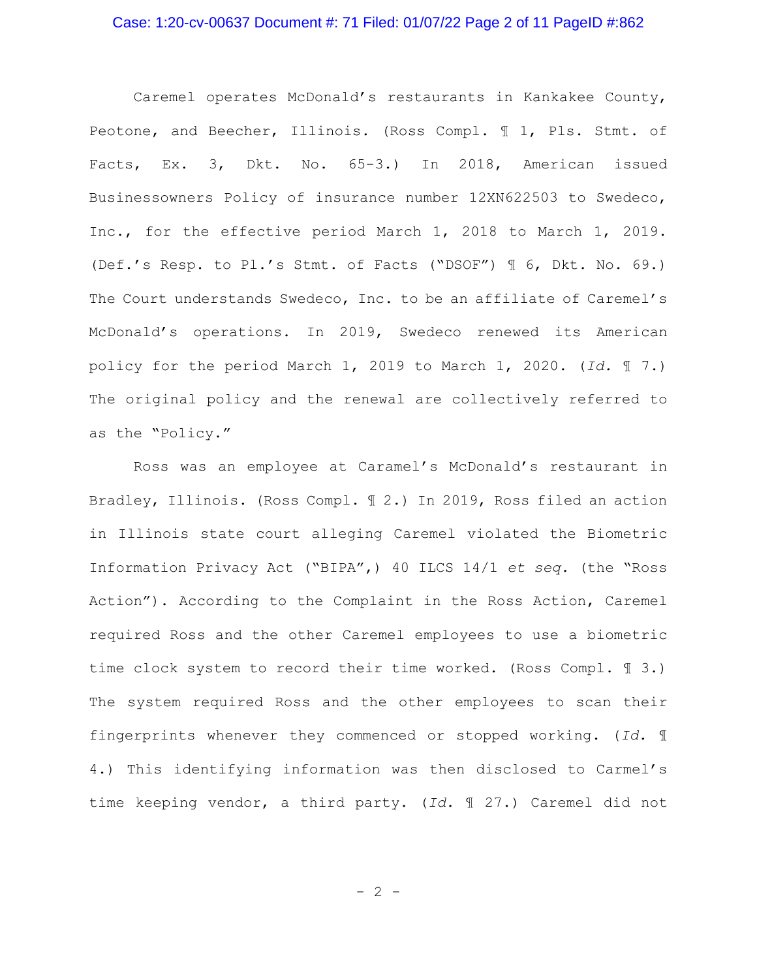#### Case: 1:20-cv-00637 Document #: 71 Filed: 01/07/22 Page 2 of 11 PageID #:862

Caremel operates McDonald's restaurants in Kankakee County, Peotone, and Beecher, Illinois. (Ross Compl. ¶ 1, Pls. Stmt. of Facts, Ex. 3, Dkt. No. 65-3.) In 2018, American issued Businessowners Policy of insurance number 12XN622503 to Swedeco, Inc., for the effective period March 1, 2018 to March 1, 2019. (Def.'s Resp. to Pl.'s Stmt. of Facts ("DSOF") ¶ 6, Dkt. No. 69.) The Court understands Swedeco, Inc. to be an affiliate of Caremel's McDonald's operations. In 2019, Swedeco renewed its American policy for the period March 1, 2019 to March 1, 2020. (*Id.* ¶ 7.) The original policy and the renewal are collectively referred to as the "Policy."

Ross was an employee at Caramel's McDonald's restaurant in Bradley, Illinois. (Ross Compl. ¶ 2.) In 2019, Ross filed an action in Illinois state court alleging Caremel violated the Biometric Information Privacy Act ("BIPA",) 40 ILCS 14/1 *et seq.* (the "Ross Action"). According to the Complaint in the Ross Action, Caremel required Ross and the other Caremel employees to use a biometric time clock system to record their time worked. (Ross Compl. ¶ 3.) The system required Ross and the other employees to scan their fingerprints whenever they commenced or stopped working. (*Id.* ¶ 4.) This identifying information was then disclosed to Carmel's time keeping vendor, a third party. (*Id.* ¶ 27.) Caremel did not

 $-2 -$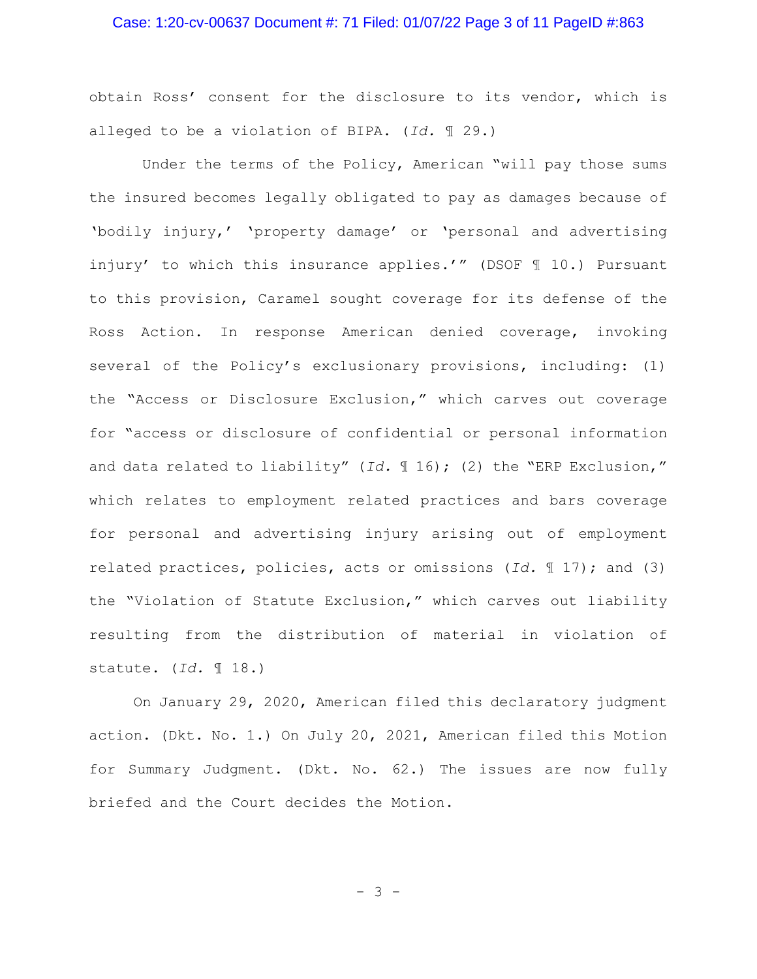#### Case: 1:20-cv-00637 Document #: 71 Filed: 01/07/22 Page 3 of 11 PageID #:863

obtain Ross' consent for the disclosure to its vendor, which is alleged to be a violation of BIPA. (*Id.* ¶ 29.)

Under the terms of the Policy, American "will pay those sums the insured becomes legally obligated to pay as damages because of 'bodily injury,' 'property damage' or 'personal and advertising injury' to which this insurance applies.'" (DSOF ¶ 10.) Pursuant to this provision, Caramel sought coverage for its defense of the Ross Action. In response American denied coverage, invoking several of the Policy's exclusionary provisions, including: (1) the "Access or Disclosure Exclusion," which carves out coverage for "access or disclosure of confidential or personal information and data related to liability" (*Id.* ¶ 16); (2) the "ERP Exclusion," which relates to employment related practices and bars coverage for personal and advertising injury arising out of employment related practices, policies, acts or omissions (*Id.* ¶ 17); and (3) the "Violation of Statute Exclusion," which carves out liability resulting from the distribution of material in violation of statute. (*Id.* ¶ 18.)

On January 29, 2020, American filed this declaratory judgment action. (Dkt. No. 1.) On July 20, 2021, American filed this Motion for Summary Judgment. (Dkt. No. 62.) The issues are now fully briefed and the Court decides the Motion.

- 3 -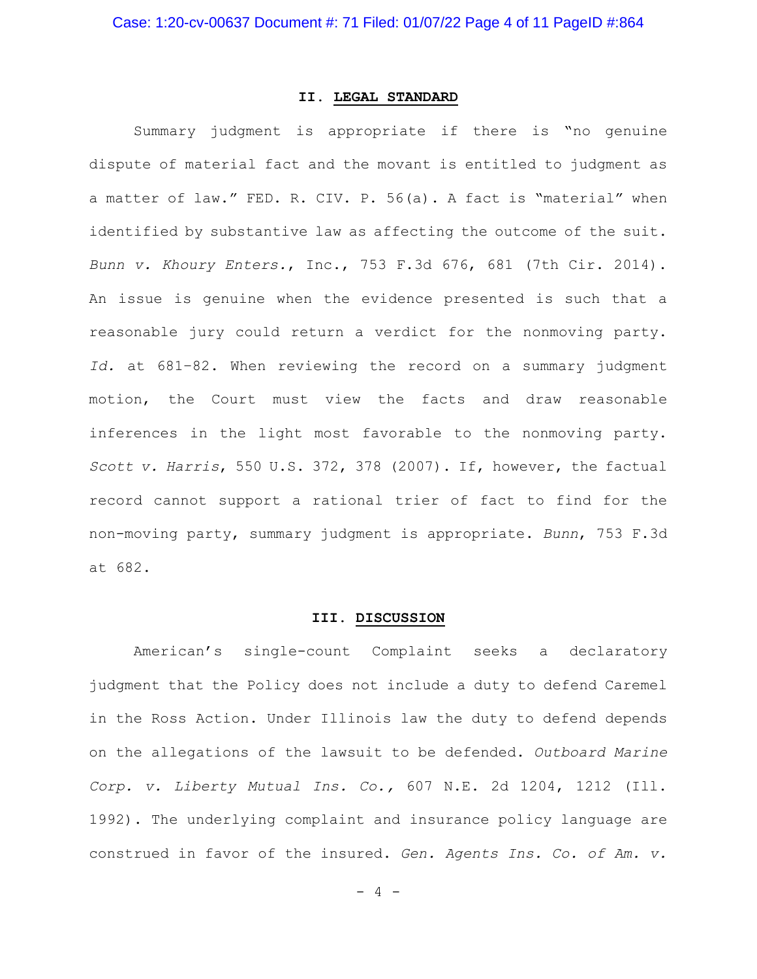# **II. LEGAL STANDARD**

Summary judgment is appropriate if there is "no genuine dispute of material fact and the movant is entitled to judgment as a matter of law." FED. R. CIV. P. 56(a). A fact is "material" when identified by substantive law as affecting the outcome of the suit. *Bunn v. Khoury Enters.*, Inc., 753 F.3d 676, 681 (7th Cir. 2014). An issue is genuine when the evidence presented is such that a reasonable jury could return a verdict for the nonmoving party. *Id.* at 681–82. When reviewing the record on a summary judgment motion, the Court must view the facts and draw reasonable inferences in the light most favorable to the nonmoving party. *Scott v. Harris*, 550 U.S. 372, 378 (2007). If, however, the factual record cannot support a rational trier of fact to find for the non-moving party, summary judgment is appropriate. *Bunn*, 753 F.3d at 682.

#### **III. DISCUSSION**

American's single-count Complaint seeks a declaratory judgment that the Policy does not include a duty to defend Caremel in the Ross Action. Under Illinois law the duty to defend depends on the allegations of the lawsuit to be defended. *Outboard Marine Corp. v. Liberty Mutual Ins. Co.,* 607 N.E. 2d 1204, 1212 (Ill. 1992). The underlying complaint and insurance policy language are construed in favor of the insured. *Gen. Agents Ins. Co. of Am. v.* 

- 4 -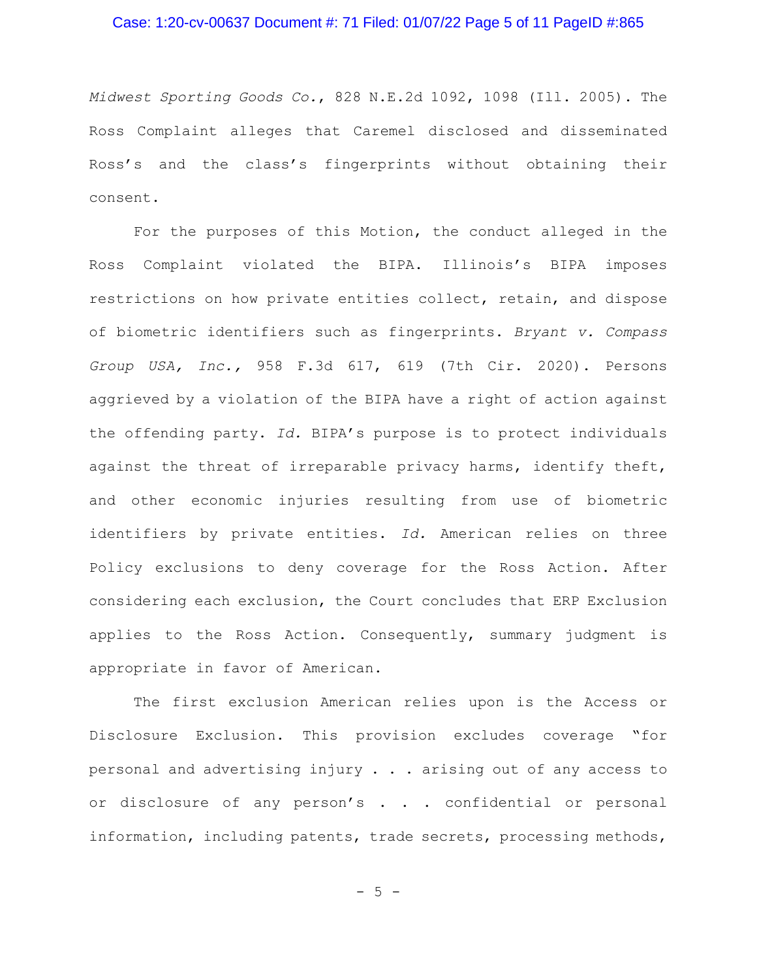#### Case: 1:20-cv-00637 Document #: 71 Filed: 01/07/22 Page 5 of 11 PageID #:865

*Midwest Sporting Goods Co.*, 828 N.E.2d 1092, 1098 (Ill. 2005). The Ross Complaint alleges that Caremel disclosed and disseminated Ross's and the class's fingerprints without obtaining their consent.

For the purposes of this Motion, the conduct alleged in the Ross Complaint violated the BIPA. Illinois's BIPA imposes restrictions on how private entities collect, retain, and dispose of biometric identifiers such as fingerprints. *Bryant v. Compass Group USA, Inc.,* 958 F.3d 617, 619 (7th Cir. 2020). Persons aggrieved by a violation of the BIPA have a right of action against the offending party. *Id.* BIPA's purpose is to protect individuals against the threat of irreparable privacy harms, identify theft, and other economic injuries resulting from use of biometric identifiers by private entities. *Id.* American relies on three Policy exclusions to deny coverage for the Ross Action. After considering each exclusion, the Court concludes that ERP Exclusion applies to the Ross Action. Consequently, summary judgment is appropriate in favor of American.

The first exclusion American relies upon is the Access or Disclosure Exclusion. This provision excludes coverage "for personal and advertising injury . . . arising out of any access to or disclosure of any person's . . . confidential or personal information, including patents, trade secrets, processing methods,

 $-5 -$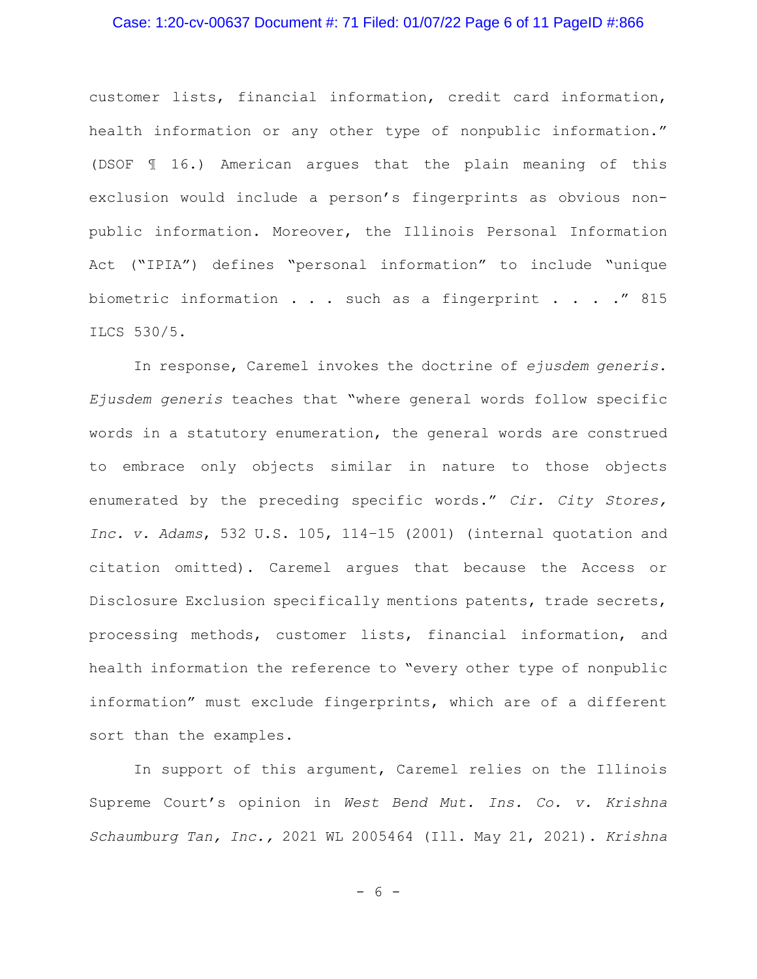#### Case: 1:20-cv-00637 Document #: 71 Filed: 01/07/22 Page 6 of 11 PageID #:866

customer lists, financial information, credit card information, health information or any other type of nonpublic information." (DSOF ¶ 16.) American argues that the plain meaning of this exclusion would include a person's fingerprints as obvious nonpublic information. Moreover, the Illinois Personal Information Act ("IPIA") defines "personal information" to include "unique biometric information . . . such as a fingerprint . . . ." 815 ILCS 530/5.

In response, Caremel invokes the doctrine of *ejusdem generis*. *Ejusdem generis* teaches that "where general words follow specific words in a statutory enumeration, the general words are construed to embrace only objects similar in nature to those objects enumerated by the preceding specific words." *Cir. City Stores, Inc. v. Adams*, 532 U.S. 105, 114–15 (2001) (internal quotation and citation omitted). Caremel argues that because the Access or Disclosure Exclusion specifically mentions patents, trade secrets, processing methods, customer lists, financial information, and health information the reference to "every other type of nonpublic information" must exclude fingerprints, which are of a different sort than the examples.

In support of this argument, Caremel relies on the Illinois Supreme Court's opinion in *West Bend Mut. Ins. Co. v. Krishna Schaumburg Tan, Inc.,* 2021 WL 2005464 (Ill. May 21, 2021). *Krishna*

- 6 -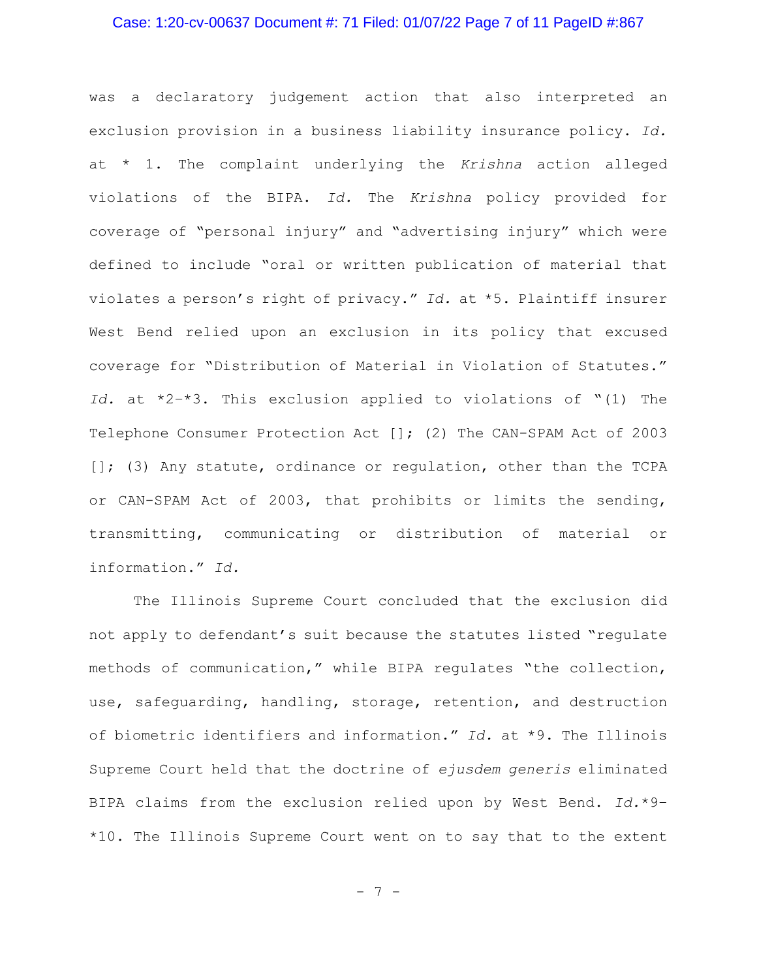#### Case: 1:20-cv-00637 Document #: 71 Filed: 01/07/22 Page 7 of 11 PageID #:867

was a declaratory judgement action that also interpreted an exclusion provision in a business liability insurance policy. *Id.* at \* 1. The complaint underlying the *Krishna* action alleged violations of the BIPA. *Id.* The *Krishna* policy provided for coverage of "personal injury" and "advertising injury" which were defined to include "oral or written publication of material that violates a person's right of privacy." *Id.* at \*5. Plaintiff insurer West Bend relied upon an exclusion in its policy that excused coverage for "Distribution of Material in Violation of Statutes." *Id.* at \*2–\*3. This exclusion applied to violations of "(1) The Telephone Consumer Protection Act []; (2) The CAN-SPAM Act of 2003 []; (3) Any statute, ordinance or regulation, other than the TCPA or CAN-SPAM Act of 2003, that prohibits or limits the sending, transmitting, communicating or distribution of material or information." *Id.*

The Illinois Supreme Court concluded that the exclusion did not apply to defendant's suit because the statutes listed "regulate methods of communication," while BIPA regulates "the collection, use, safeguarding, handling, storage, retention, and destruction of biometric identifiers and information." *Id.* at \*9. The Illinois Supreme Court held that the doctrine of *ejusdem generis* eliminated BIPA claims from the exclusion relied upon by West Bend. *Id.*\*9– \*10. The Illinois Supreme Court went on to say that to the extent

- 7 -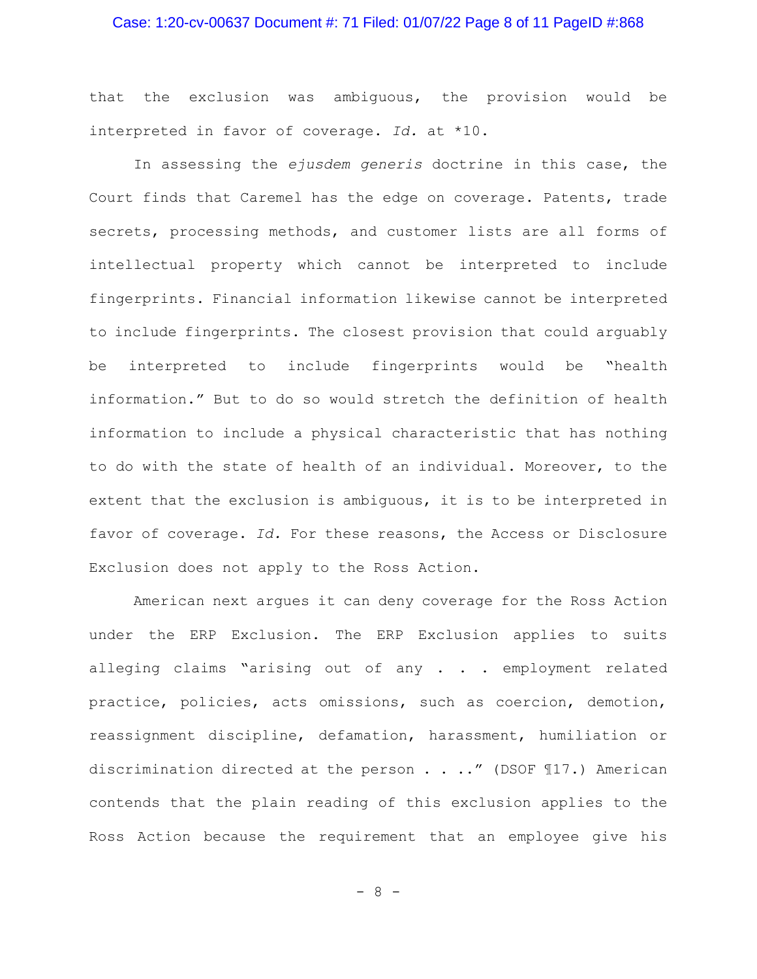#### Case: 1:20-cv-00637 Document #: 71 Filed: 01/07/22 Page 8 of 11 PageID #:868

that the exclusion was ambiguous, the provision would be interpreted in favor of coverage. *Id.* at \*10.

In assessing the *ejusdem generis* doctrine in this case, the Court finds that Caremel has the edge on coverage. Patents, trade secrets, processing methods, and customer lists are all forms of intellectual property which cannot be interpreted to include fingerprints. Financial information likewise cannot be interpreted to include fingerprints. The closest provision that could arguably be interpreted to include fingerprints would be "health information." But to do so would stretch the definition of health information to include a physical characteristic that has nothing to do with the state of health of an individual. Moreover, to the extent that the exclusion is ambiguous, it is to be interpreted in favor of coverage. *Id.* For these reasons, the Access or Disclosure Exclusion does not apply to the Ross Action.

American next argues it can deny coverage for the Ross Action under the ERP Exclusion. The ERP Exclusion applies to suits alleging claims "arising out of any . . . employment related practice, policies, acts omissions, such as coercion, demotion, reassignment discipline, defamation, harassment, humiliation or discrimination directed at the person . . .." (DSOF ¶17.) American contends that the plain reading of this exclusion applies to the Ross Action because the requirement that an employee give his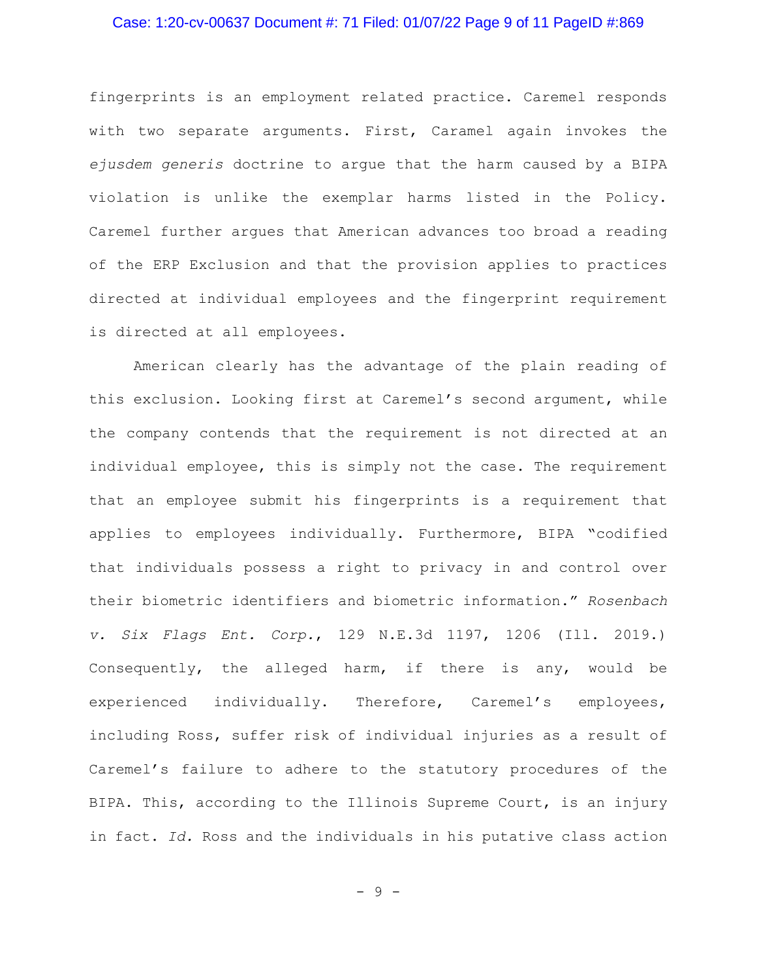#### Case: 1:20-cv-00637 Document #: 71 Filed: 01/07/22 Page 9 of 11 PageID #:869

fingerprints is an employment related practice. Caremel responds with two separate arguments. First, Caramel again invokes the *ejusdem generis* doctrine to argue that the harm caused by a BIPA violation is unlike the exemplar harms listed in the Policy. Caremel further argues that American advances too broad a reading of the ERP Exclusion and that the provision applies to practices directed at individual employees and the fingerprint requirement is directed at all employees.

American clearly has the advantage of the plain reading of this exclusion. Looking first at Caremel's second argument, while the company contends that the requirement is not directed at an individual employee, this is simply not the case. The requirement that an employee submit his fingerprints is a requirement that applies to employees individually. Furthermore, BIPA "codified that individuals possess a right to privacy in and control over their biometric identifiers and biometric information." *Rosenbach v. Six Flags Ent. Corp.*, 129 N.E.3d 1197, 1206 (Ill. 2019.) Consequently, the alleged harm, if there is any, would be experienced individually. Therefore, Caremel's employees, including Ross, suffer risk of individual injuries as a result of Caremel's failure to adhere to the statutory procedures of the BIPA. This, according to the Illinois Supreme Court, is an injury in fact. *Id.* Ross and the individuals in his putative class action

- 9 -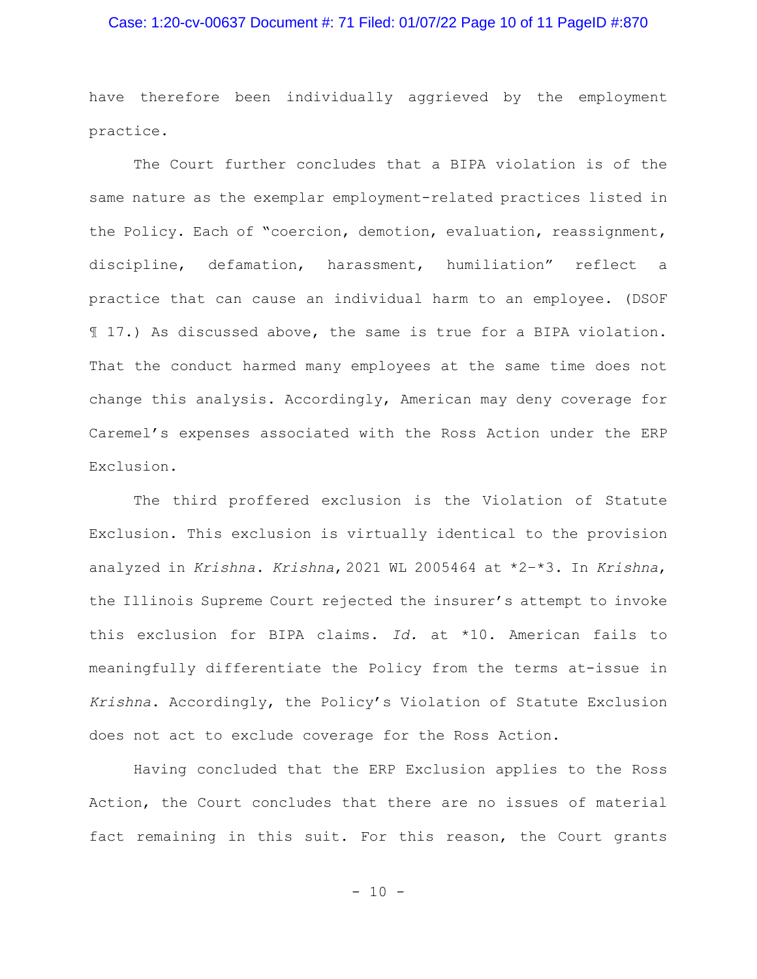#### Case: 1:20-cv-00637 Document #: 71 Filed: 01/07/22 Page 10 of 11 PageID #:870

have therefore been individually aggrieved by the employment practice.

The Court further concludes that a BIPA violation is of the same nature as the exemplar employment-related practices listed in the Policy. Each of "coercion, demotion, evaluation, reassignment, discipline, defamation, harassment, humiliation" reflect a practice that can cause an individual harm to an employee. (DSOF ¶ 17.) As discussed above, the same is true for a BIPA violation. That the conduct harmed many employees at the same time does not change this analysis. Accordingly, American may deny coverage for Caremel's expenses associated with the Ross Action under the ERP Exclusion.

The third proffered exclusion is the Violation of Statute Exclusion. This exclusion is virtually identical to the provision analyzed in *Krishna. Krishna*, 2021 WL 2005464 at \*2–\*3. In *Krishna*, the Illinois Supreme Court rejected the insurer's attempt to invoke this exclusion for BIPA claims. *Id.* at \*10. American fails to meaningfully differentiate the Policy from the terms at-issue in *Krishna*. Accordingly, the Policy's Violation of Statute Exclusion does not act to exclude coverage for the Ross Action.

Having concluded that the ERP Exclusion applies to the Ross Action, the Court concludes that there are no issues of material fact remaining in this suit. For this reason, the Court grants

- 10 -